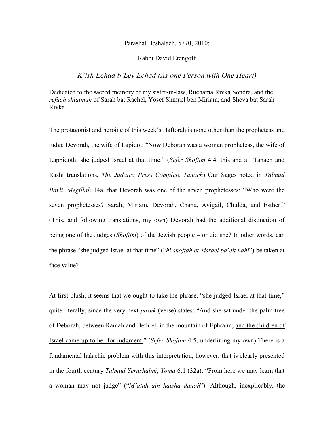## Parashat Beshalach, 5770, 2010:

## Rabbi David Etengoff

## *K'ish Echad b'Lev Echad (As one Person with One Heart)*

Dedicated to the sacred memory of my sister-in-law, Ruchama Rivka Sondra, and the *refuah shlaimah* of Sarah bat Rachel, Yosef Shmuel ben Miriam, and Sheva bat Sarah Rivka.

The protagonist and heroine of this week's Haftorah is none other than the prophetess and judge Devorah, the wife of Lapidot: "Now Deborah was a woman prophetess, the wife of Lappidoth; she judged Israel at that time." (*Sefer Shoftim* 4:4, this and all Tanach and Rashi translations, *The Judaica Press Complete Tanach*) Our Sages noted in *Talmud Bavli*, *Megillah* 14a, that Devorah was one of the seven prophetesses: "Who were the seven prophetesses? Sarah, Miriam, Devorah, Chana, Avigail, Chulda, and Esther." (This, and following translations, my own) Devorah had the additional distinction of being one of the Judges (*Shoftim*) of the Jewish people – or did she? In other words, can the phrase "she judged Israel at that time" ("*hi shoftah et Yisrael ba*'*eit hahi*") be taken at face value?

At first blush, it seems that we ought to take the phrase, "she judged Israel at that time," quite literally, since the very next *pasuk* (verse) states: "And she sat under the palm tree of Deborah, between Ramah and Beth-el, in the mountain of Ephraim; and the children of Israel came up to her for judgment." (*Sefer Shoftim* 4:5, underlining my own) There is a fundamental halachic problem with this interpretation, however, that is clearly presented in the fourth century *Talmud Yerushalmi*, *Yoma* 6:1 (32a): "From here we may learn that a woman may not judge" ("*M'atah ain haisha danah*"). Although, inexplicably, the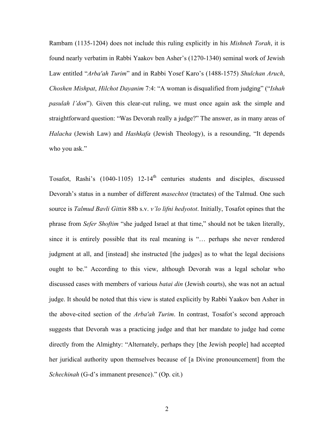Rambam (1135-1204) does not include this ruling explicitly in his *Mishneh Torah*, it is found nearly verbatim in Rabbi Yaakov ben Asher's (1270-1340) seminal work of Jewish Law entitled "*Arba'ah Turim*" and in Rabbi Yosef Karo's (1488-1575) *Shulchan Aruch*, *Choshen Mishpat*, *Hilchot Dayanim* 7:4: "A woman is disqualified from judging" ("*Ishah pasulah l'don*"). Given this clear-cut ruling, we must once again ask the simple and straightforward question: "Was Devorah really a judge?" The answer, as in many areas of *Halacha* (Jewish Law) and *Hashkafa* (Jewish Theology), is a resounding, "It depends who you ask."

Tosafot, Rashi's (1040-1105) 12-14<sup>th</sup> centuries students and disciples, discussed Devorah's status in a number of different *masechtot* (tractates) of the Talmud. One such source is *Talmud Bavli Gittin* 88b s.v. *v'lo lifni hedyotot*. Initially, Tosafot opines that the phrase from *Sefer Shoftim* "she judged Israel at that time," should not be taken literally, since it is entirely possible that its real meaning is "… perhaps she never rendered judgment at all, and [instead] she instructed [the judges] as to what the legal decisions ought to be." According to this view, although Devorah was a legal scholar who discussed cases with members of various *batai din* (Jewish courts), she was not an actual judge. It should be noted that this view is stated explicitly by Rabbi Yaakov ben Asher in the above-cited section of the *Arba'ah Turim*. In contrast, Tosafot's second approach suggests that Devorah was a practicing judge and that her mandate to judge had come directly from the Almighty: "Alternately, perhaps they [the Jewish people] had accepted her juridical authority upon themselves because of [a Divine pronouncement] from the *Schechinah* (G-d's immanent presence)." (Op. cit.)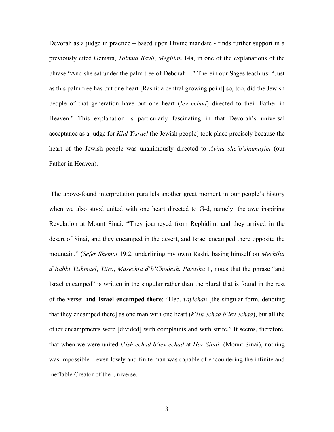Devorah as a judge in practice – based upon Divine mandate - finds further support in a previously cited Gemara, *Talmud Bavli*, *Megillah* 14a, in one of the explanations of the phrase "And she sat under the palm tree of Deborah…" Therein our Sages teach us: "Just as this palm tree has but one heart [Rashi: a central growing point] so, too, did the Jewish people of that generation have but one heart (*lev echad*) directed to their Father in Heaven." This explanation is particularly fascinating in that Devorah's universal acceptance as a judge for *Klal Yisrael* (he Jewish people) took place precisely because the heart of the Jewish people was unanimously directed to *Avinu she'b'shamayim* (our Father in Heaven).

 The above-found interpretation parallels another great moment in our people's history when we also stood united with one heart directed to G-d, namely, the awe inspiring Revelation at Mount Sinai: "They journeyed from Rephidim, and they arrived in the desert of Sinai, and they encamped in the desert, and Israel encamped there opposite the mountain." (*Sefer Shemot* 19:2, underlining my own) Rashi, basing himself on *Mechilta d*'*Rabbi Yishmael*, *Yitro*, *Masechta d*'*b'Chodesh*, *Parasha* 1, notes that the phrase "and Israel encamped" is written in the singular rather than the plural that is found in the rest of the verse: **and Israel encamped there**: "Heb. *vayichan* [the singular form, denoting that they encamped there] as one man with one heart (*k*'*ish echad b*'*lev echad*), but all the other encampments were [divided] with complaints and with strife." It seems, therefore, that when we were united *k*'*ish echad b'lev echad* at *Har Sinai* (Mount Sinai), nothing was impossible – even lowly and finite man was capable of encountering the infinite and ineffable Creator of the Universe.